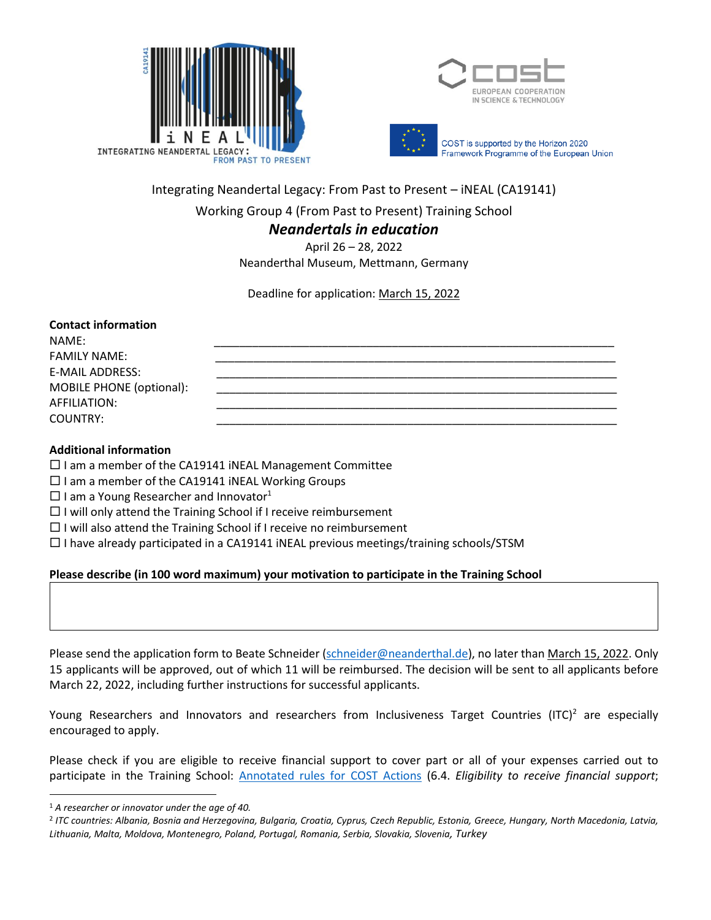



Integrating Neandertal Legacy: From Past to Present – iNEAL (CA19141)

Working Group 4 (From Past to Present) Training School

## *Neandertals in education*

April 26 – 28, 2022 Neanderthal Museum, Mettmann, Germany

Deadline for application: March 15, 2022

### **Contact information**

NAME: \_\_\_\_\_\_\_\_\_\_\_\_\_\_\_\_\_\_\_\_\_\_\_\_\_\_\_\_\_\_\_\_\_\_\_\_\_\_\_\_\_\_\_\_\_\_\_\_\_\_\_\_\_\_\_\_\_\_\_\_\_\_\_ FAMILY NAME: E-MAIL ADDRESS: MOBILE PHONE (optional): AFFILIATION: \_\_\_\_\_\_\_\_\_\_\_\_\_\_\_\_\_\_\_\_\_\_\_\_\_\_\_\_\_\_\_\_\_\_\_\_\_\_\_\_\_\_\_\_\_\_\_\_\_\_\_\_\_\_\_\_\_\_\_\_\_\_\_ COUNTRY: \_\_\_\_\_\_\_\_\_\_\_\_\_\_\_\_\_\_\_\_\_\_\_\_\_\_\_\_\_\_\_\_\_\_\_\_\_\_\_\_\_\_\_\_\_\_\_\_\_\_\_\_\_\_\_\_\_\_\_\_\_\_\_

## **Additional information**

- $\square$  I am a member of the CA19141 iNEAL Management Committee
- $\Box$  I am a member of the CA19141 iNEAL Working Groups
- $\square$  I am a Young Researcher and Innovator<sup>1</sup>
- $\Box$  I will only attend the Training School if I receive reimbursement
- $\Box$  I will also attend the Training School if I receive no reimbursement
- $\Box$  I have already participated in a CA19141 iNEAL previous meetings/training schools/STSM

### **Please describe (in 100 word maximum) your motivation to participate in the Training School**

Please send the application form to Beate Schneider [\(schneider@neanderthal.de\)](mailto:schneider@neanderthal.de), no later than March 15, 2022. Only 15 applicants will be approved, out of which 11 will be reimbursed. The decision will be sent to all applicants before March 22, 2022, including further instructions for successful applicants.

Young Researchers and Innovators and researchers from Inclusiveness Target Countries (ITC)<sup>2</sup> are especially encouraged to apply.

Please check if you are eligible to receive financial support to cover part or all of your expenses carried out to participate in the Training School: [Annotated rules for COST Actions](https://www.cost.eu/uploads/2022/02/COST-094-21-Annotated-Rules-for-COST-Actions-Level-C-2022-02-15.pdf) (6.4. *Eligibility to receive financial support*;

 $\overline{a}$ 

<sup>1</sup> *A researcher or innovator under the age of 40.*

<sup>2</sup> *ITC countries: Albania, Bosnia and Herzegovina, Bulgaria, Croatia, Cyprus, Czech Republic, Estonia, Greece, Hungary, North Macedonia, Latvia, Lithuania, Malta, Moldova, Montenegro, Poland, Portugal, Romania, Serbia, Slovakia, Slovenia, Turkey*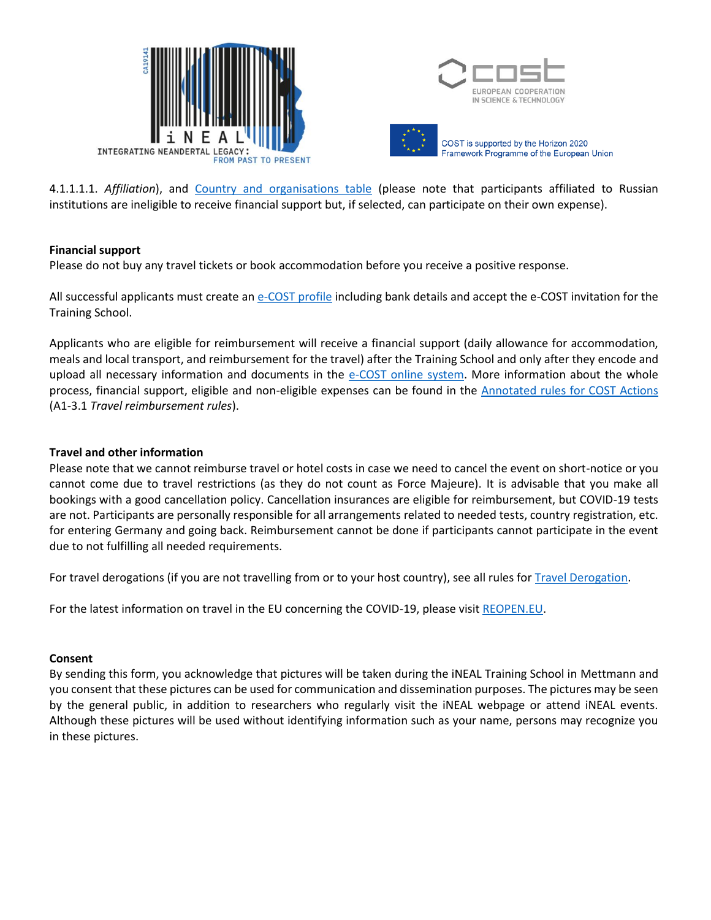



4.1.1.1.1. *Affiliation*), and [Country and organisations table](https://www.cost.eu/uploads/2021/10/Annex-I-level-A-Country-and-Organisations-Table-REVISION.pdf) (please note that participants affiliated to Russian institutions are ineligible to receive financial support but, if selected, can participate on their own expense).

### **Financial support**

Please do not buy any travel tickets or book accommodation before you receive a positive response.

All successful applicants must create a[n e-COST profile](https://e-services.cost.eu/user/login) including bank details and accept the e-COST invitation for the Training School.

Applicants who are eligible for reimbursement will receive a financial support (daily allowance for accommodation, meals and local transport, and reimbursement for the travel) after the Training School and only after they encode and upload all necessary information and documents in the [e-COST online system.](https://e-services.cost.eu/user/login) More information about the whole process, financial support, eligible and non-eligible expenses can be found in the [Annotated rules for COST Actions](https://www.cost.eu/uploads/2022/02/COST-094-21-Annotated-Rules-for-COST-Actions-Level-C-2022-02-15.pdf) (A1-3.1 *Travel reimbursement rules*).

### **Travel and other information**

Please note that we cannot reimburse travel or hotel costs in case we need to cancel the event on short-notice or you cannot come due to travel restrictions (as they do not count as Force Majeure). It is advisable that you make all bookings with a good cancellation policy. Cancellation insurances are eligible for reimbursement, but COVID-19 tests are not. Participants are personally responsible for all arrangements related to needed tests, country registration, etc. for entering Germany and going back. Reimbursement cannot be done if participants cannot participate in the event due to not fulfilling all needed requirements.

For travel derogations (if you are not travelling from or to your host country), see all rules fo[r Travel Derogation.](https://www.cost.eu/uploads/2022/02/Derogation-Procedure-2022.pdf)

For the latest information on travel in the EU concerning the COVID-19, please visi[t REOPEN.EU.](https://reopen.europa.eu/)

#### **Consent**

By sending this form, you acknowledge that pictures will be taken during the iNEAL Training School in Mettmann and you consent that these pictures can be used for communication and dissemination purposes. The pictures may be seen by the general public, in addition to researchers who regularly visit the iNEAL webpage or attend iNEAL events. Although these pictures will be used without identifying information such as your name, persons may recognize you in these pictures.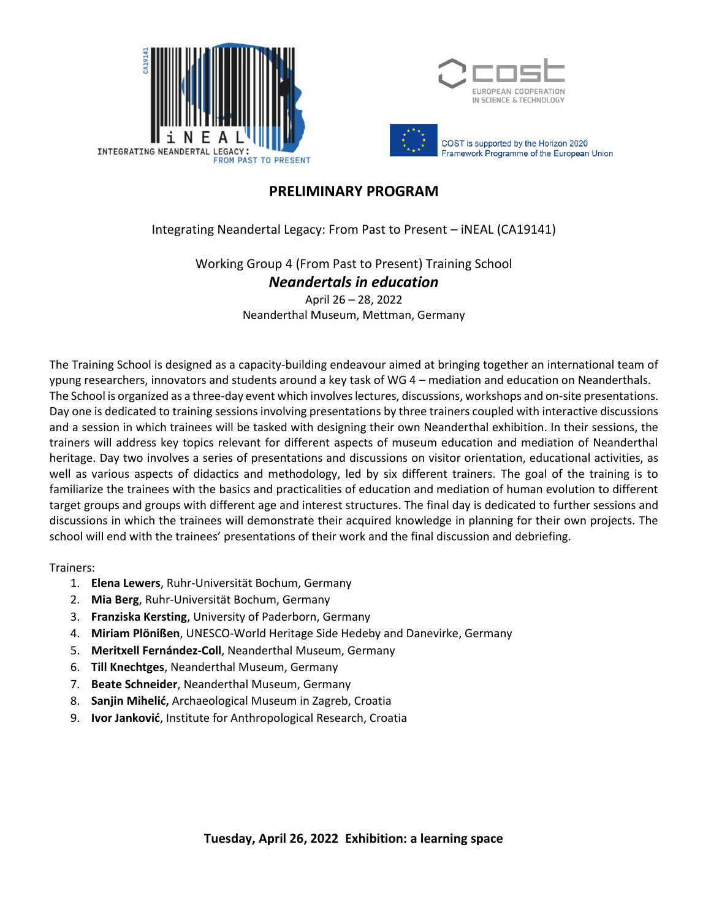



# **PRELIMINARY PROGRAM**

Integrating Neandertal Legacy: From Past to Present – iNEAL (CA19141)

Working Group 4 (From Past to Present) Training School

*Neandertals in education*

April 26 – 28, 2022 Neanderthal Museum, Mettman, Germany

The Training School is designed as a capacity-building endeavour aimed at bringing together an international team of ypung researchers, innovators and students around a key task of WG 4 – mediation and education on Neanderthals. The School is organized as a three-day event which involves lectures, discussions, workshops and on-site presentations. Day one is dedicated to training sessions involving presentations by three trainers coupled with interactive discussions and a session in which trainees will be tasked with designing their own Neanderthal exhibition. In their sessions, the trainers will address key topics relevant for different aspects of museum education and mediation of Neanderthal heritage. Day two involves a series of presentations and discussions on visitor orientation, educational activities, as well as various aspects of didactics and methodology, led by six different trainers. The goal of the training is to familiarize the trainees with the basics and practicalities of education and mediation of human evolution to different target groups and groups with different age and interest structures. The final day is dedicated to further sessions and discussions in which the trainees will demonstrate their acquired knowledge in planning for their own projects. The school will end with the trainees' presentations of their work and the final discussion and debriefing.

Trainers:

- 1. **Elena Lewers**, Ruhr-Universität Bochum, Germany
- 2. **Mia Berg**, Ruhr-Universität Bochum, Germany
- 3. **Franziska Kersting**, University of Paderborn, Germany
- 4. **Miriam Plönißen**, UNESCO-World Heritage Side Hedeby and Danevirke, Germany
- 5. **Meritxell Fernández-Coll**, Neanderthal Museum, Germany
- 6. **Till Knechtges**, Neanderthal Museum, Germany
- 7. **Beate Schneider**, Neanderthal Museum, Germany
- 8. **Sanjin Mihelić,** Archaeological Museum in Zagreb, Croatia
- 9. **Ivor Janković**, Institute for Anthropological Research, Croatia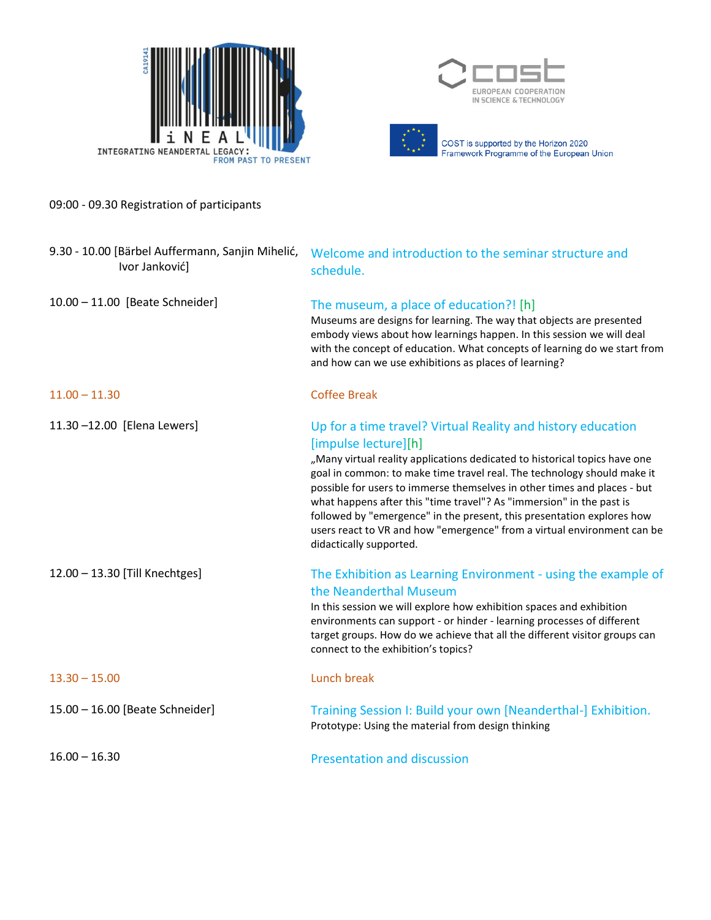





09:00 - 09.30 Registration of participants

| 9.30 - 10.00 [Bärbel Auffermann, Sanjin Mihelić,<br>Ivor Janković] | Welcome and introduction to the seminar structure and<br>schedule.                                                                                                                                                                                                                                                                                                                                                                                                                                                                                                               |
|--------------------------------------------------------------------|----------------------------------------------------------------------------------------------------------------------------------------------------------------------------------------------------------------------------------------------------------------------------------------------------------------------------------------------------------------------------------------------------------------------------------------------------------------------------------------------------------------------------------------------------------------------------------|
| 10.00 - 11.00 [Beate Schneider]                                    | The museum, a place of education?! [h]<br>Museums are designs for learning. The way that objects are presented<br>embody views about how learnings happen. In this session we will deal<br>with the concept of education. What concepts of learning do we start from<br>and how can we use exhibitions as places of learning?                                                                                                                                                                                                                                                    |
| $11.00 - 11.30$                                                    | <b>Coffee Break</b>                                                                                                                                                                                                                                                                                                                                                                                                                                                                                                                                                              |
| 11.30-12.00 [Elena Lewers]                                         | Up for a time travel? Virtual Reality and history education<br>[impulse lecture][h]<br>"Many virtual reality applications dedicated to historical topics have one<br>goal in common: to make time travel real. The technology should make it<br>possible for users to immerse themselves in other times and places - but<br>what happens after this "time travel"? As "immersion" in the past is<br>followed by "emergence" in the present, this presentation explores how<br>users react to VR and how "emergence" from a virtual environment can be<br>didactically supported. |
| 12.00 - 13.30 [Till Knechtges]                                     | The Exhibition as Learning Environment - using the example of<br>the Neanderthal Museum<br>In this session we will explore how exhibition spaces and exhibition<br>environments can support - or hinder - learning processes of different<br>target groups. How do we achieve that all the different visitor groups can<br>connect to the exhibition's topics?                                                                                                                                                                                                                   |
| $13.30 - 15.00$                                                    | <b>Lunch break</b>                                                                                                                                                                                                                                                                                                                                                                                                                                                                                                                                                               |
| 15.00 - 16.00 [Beate Schneider]                                    | Training Session I: Build your own [Neanderthal-] Exhibition.<br>Prototype: Using the material from design thinking                                                                                                                                                                                                                                                                                                                                                                                                                                                              |
| $16.00 - 16.30$                                                    | <b>Presentation and discussion</b>                                                                                                                                                                                                                                                                                                                                                                                                                                                                                                                                               |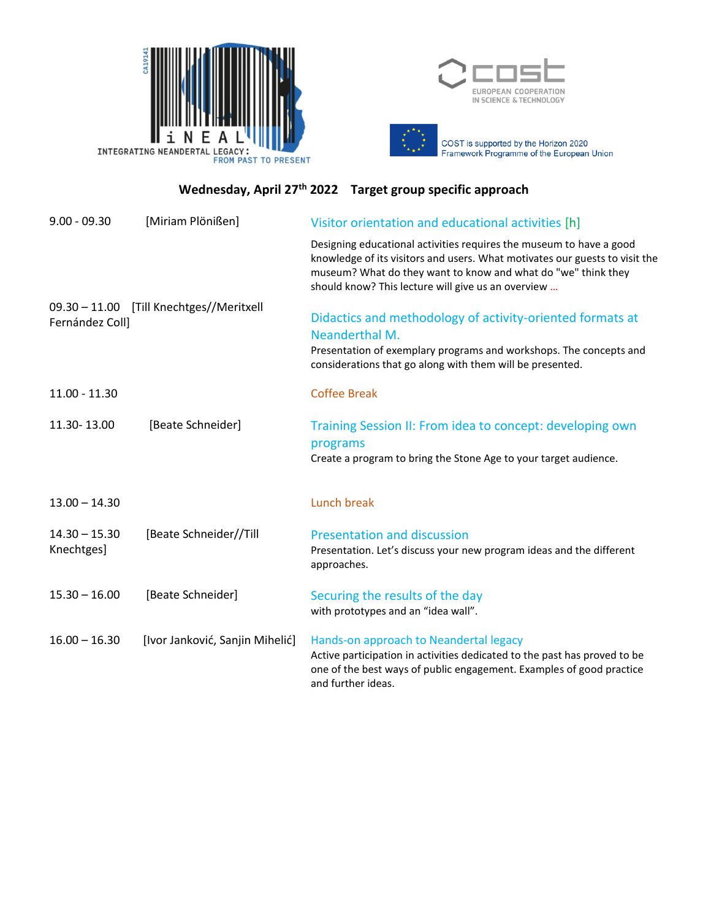



# **Wednesday, April 27th 2022 Target group specific approach**

| $9.00 - 09.30$                | [Miriam Plönißen]                        | Visitor orientation and educational activities [h]                                                                                                                                                                                                                        |
|-------------------------------|------------------------------------------|---------------------------------------------------------------------------------------------------------------------------------------------------------------------------------------------------------------------------------------------------------------------------|
|                               |                                          | Designing educational activities requires the museum to have a good<br>knowledge of its visitors and users. What motivates our guests to visit the<br>museum? What do they want to know and what do "we" think they<br>should know? This lecture will give us an overview |
| Fernández Coll]               | 09.30 - 11.00 [Till Knechtges//Meritxell | Didactics and methodology of activity-oriented formats at<br>Neanderthal M.<br>Presentation of exemplary programs and workshops. The concepts and<br>considerations that go along with them will be presented.                                                            |
| $11.00 - 11.30$               |                                          | <b>Coffee Break</b>                                                                                                                                                                                                                                                       |
| 11.30-13.00                   | [Beate Schneider]                        | Training Session II: From idea to concept: developing own<br>programs<br>Create a program to bring the Stone Age to your target audience.                                                                                                                                 |
| $13.00 - 14.30$               |                                          | Lunch break                                                                                                                                                                                                                                                               |
| $14.30 - 15.30$<br>Knechtges] | [Beate Schneider//Till                   | <b>Presentation and discussion</b><br>Presentation. Let's discuss your new program ideas and the different<br>approaches.                                                                                                                                                 |
| $15.30 - 16.00$               | [Beate Schneider]                        | Securing the results of the day<br>with prototypes and an "idea wall".                                                                                                                                                                                                    |
| $16.00 - 16.30$               | [Ivor Janković, Sanjin Mihelić]          | Hands-on approach to Neandertal legacy<br>Active participation in activities dedicated to the past has proved to be<br>one of the best ways of public engagement. Examples of good practice<br>and further ideas.                                                         |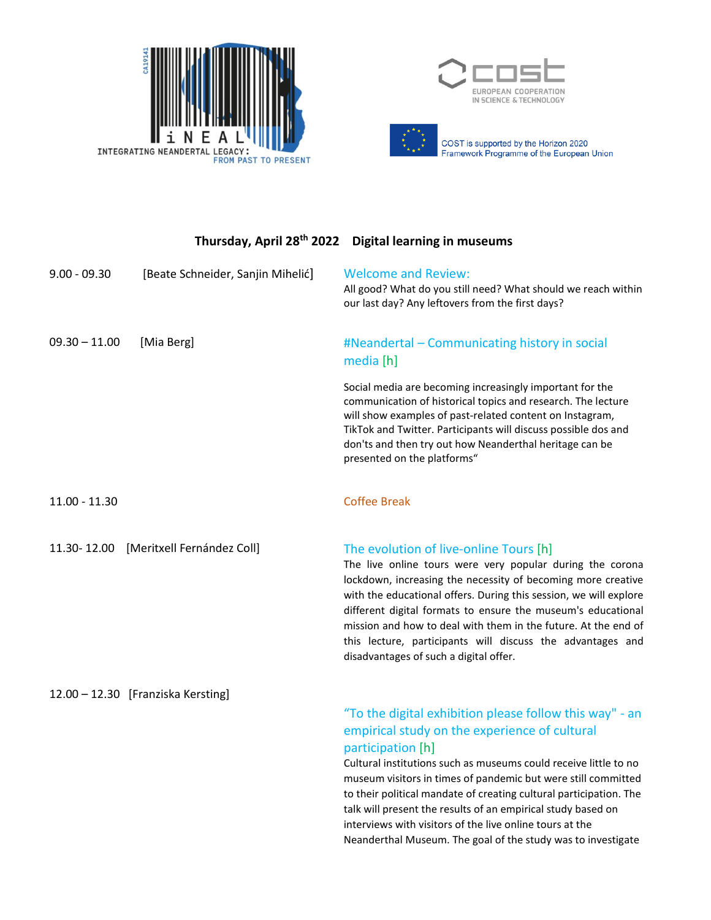



COST is supported by the Horizon 2020<br>Framework Programme of the European Union

|                 |                                    | Thursday, April 28 <sup>th</sup> 2022 Digital learning in museums                                                                                                                                                                                                                                                                                                                                                                                                                  |
|-----------------|------------------------------------|------------------------------------------------------------------------------------------------------------------------------------------------------------------------------------------------------------------------------------------------------------------------------------------------------------------------------------------------------------------------------------------------------------------------------------------------------------------------------------|
| $9.00 - 09.30$  | [Beate Schneider, Sanjin Mihelić]  | <b>Welcome and Review:</b><br>All good? What do you still need? What should we reach within<br>our last day? Any leftovers from the first days?                                                                                                                                                                                                                                                                                                                                    |
| $09.30 - 11.00$ | [Mia Berg]                         | #Neandertal - Communicating history in social<br>media [h]                                                                                                                                                                                                                                                                                                                                                                                                                         |
|                 |                                    | Social media are becoming increasingly important for the<br>communication of historical topics and research. The lecture<br>will show examples of past-related content on Instagram,<br>TikTok and Twitter. Participants will discuss possible dos and<br>don'ts and then try out how Neanderthal heritage can be<br>presented on the platforms"                                                                                                                                   |
| 11.00 - 11.30   |                                    | <b>Coffee Break</b>                                                                                                                                                                                                                                                                                                                                                                                                                                                                |
| 11.30-12.00     | [Meritxell Fernández Coll]         | The evolution of live-online Tours [h]<br>The live online tours were very popular during the corona<br>lockdown, increasing the necessity of becoming more creative<br>with the educational offers. During this session, we will explore<br>different digital formats to ensure the museum's educational<br>mission and how to deal with them in the future. At the end of<br>this lecture, participants will discuss the advantages and<br>disadvantages of such a digital offer. |
|                 | 12.00 - 12.30 [Franziska Kersting] | "To the digital exhibition please follow this way" - an                                                                                                                                                                                                                                                                                                                                                                                                                            |
|                 |                                    | empirical study on the experience of cultural<br>participation [h]                                                                                                                                                                                                                                                                                                                                                                                                                 |
|                 |                                    | Cultural institutions such as museums could receive little to no<br>museum visitors in times of pandemic but were still committed<br>to their political mandate of creating cultural participation. The<br>talk will present the results of an empirical study based on<br>interviews with visitors of the live online tours at the                                                                                                                                                |

Neanderthal Museum. The goal of the study was to investigate